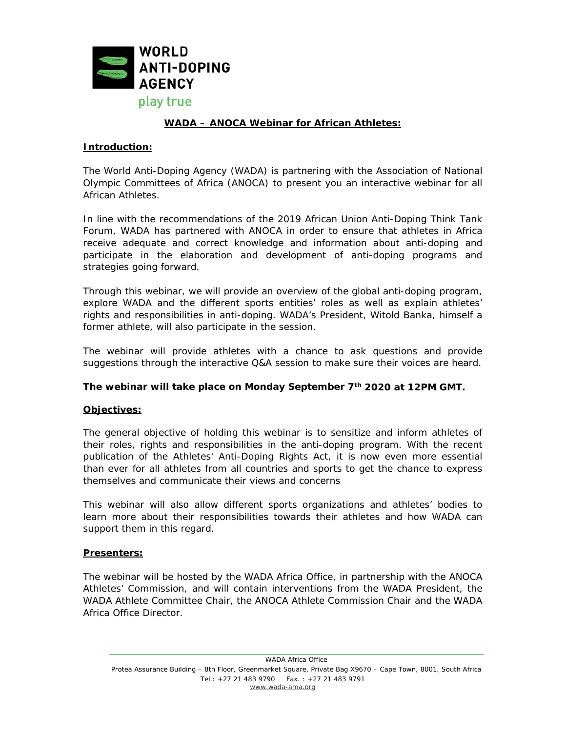

# **WADA – ANOCA Webinar for African Athletes:**

### **Introduction:**

The World Anti-Doping Agency (WADA) is partnering with the Association of National Olympic Committees of Africa (ANOCA) to present you an interactive webinar for all African Athletes.

In line with the recommendations of the 2019 African Union Anti-Doping Think Tank Forum, WADA has partnered with ANOCA in order to ensure that athletes in Africa receive adequate and correct knowledge and information about anti-doping and participate in the elaboration and development of anti-doping programs and strategies going forward.

Through this webinar, we will provide an overview of the global anti-doping program, explore WADA and the different sports entities' roles as well as explain athletes' rights and responsibilities in anti-doping. WADA's President, Witold Banka, himself a former athlete, will also participate in the session.

The webinar will provide athletes with a chance to ask questions and provide suggestions through the interactive Q&A session to make sure their voices are heard.

#### **The webinar will take place on Monday September 7th 2020 at 12PM GMT.**

#### **Objectives:**

The general objective of holding this webinar is to sensitize and inform athletes of their roles, rights and responsibilities in the anti-doping program. With the recent publication of the Athletes' Anti-Doping Rights Act, it is now even more essential than ever for all athletes from all countries and sports to get the chance to express themselves and communicate their views and concerns

This webinar will also allow different sports organizations and athletes' bodies to learn more about their responsibilities towards their athletes and how WADA can support them in this regard.

#### **Presenters:**

The webinar will be hosted by the WADA Africa Office, in partnership with the ANOCA Athletes' Commission, and will contain interventions from the WADA President, the WADA Athlete Committee Chair, the ANOCA Athlete Commission Chair and the WADA Africa Office Director.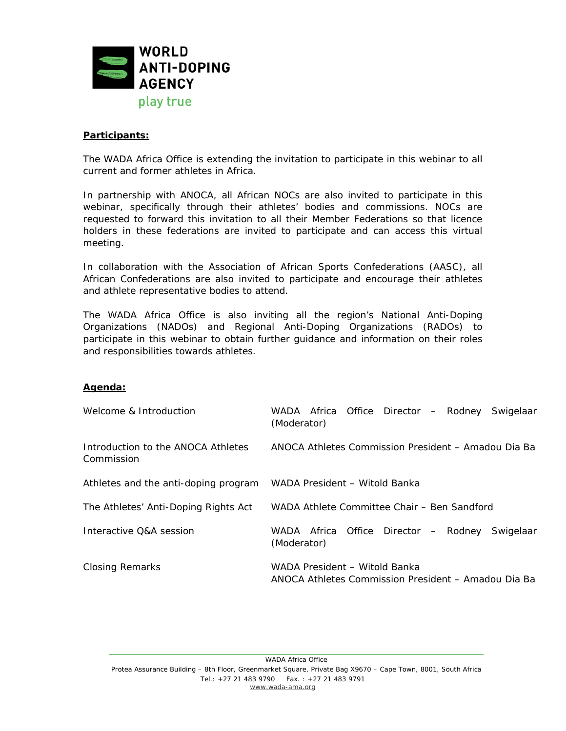

#### **Participants:**

The WADA Africa Office is extending the invitation to participate in this webinar to all current and former athletes in Africa.

In partnership with ANOCA, all African NOCs are also invited to participate in this webinar, specifically through their athletes' bodies and commissions. NOCs are requested to forward this invitation to all their Member Federations so that licence holders in these federations are invited to participate and can access this virtual meeting.

In collaboration with the Association of African Sports Confederations (AASC), all African Confederations are also invited to participate and encourage their athletes and athlete representative bodies to attend.

The WADA Africa Office is also inviting all the region's National Anti-Doping Organizations (NADOs) and Regional Anti-Doping Organizations (RADOs) to participate in this webinar to obtain further guidance and information on their roles and responsibilities towards athletes.

#### **Agenda:**

| Welcome & Introduction                           | WADA Africa Office Director - Rodney Swigelaar<br>(Moderator)                        |
|--------------------------------------------------|--------------------------------------------------------------------------------------|
| Introduction to the ANOCA Athletes<br>Commission | ANOCA Athletes Commission President - Amadou Dia Ba                                  |
| Athletes and the anti-doping program             | WADA President - Witold Banka                                                        |
| The Athletes' Anti-Doping Rights Act             | WADA Athlete Committee Chair - Ben Sandford                                          |
| Interactive O&A session                          | WADA Africa Office Director - Rodney<br>Swigelaar<br>(Moderator)                     |
| <b>Closing Remarks</b>                           | WADA President - Witold Banka<br>ANOCA Athletes Commission President – Amadou Dia Ba |